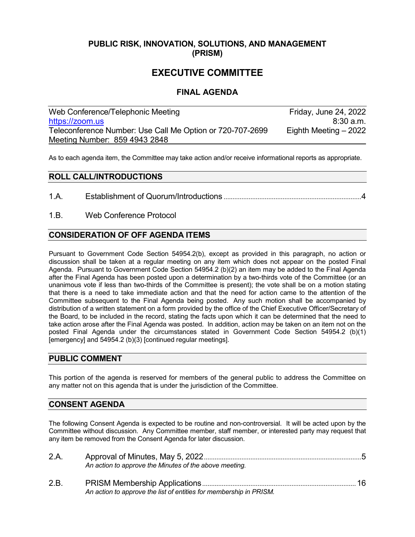### **PUBLIC RISK, INNOVATION, SOLUTIONS, AND MANAGEMENT (PRISM)**

# **EXECUTIVE COMMITTEE**

### **FINAL AGENDA**

| Web Conference/Telephonic Meeting                         | Friday, June 24, 2022  |
|-----------------------------------------------------------|------------------------|
| https://zoom.us                                           | $8:30$ a.m.            |
| Teleconference Number: Use Call Me Option or 720-707-2699 | Eighth Meeting $-2022$ |
| Meeting Number: 859 4943 2848                             |                        |

As to each agenda item, the Committee may take action and/or receive informational reports as appropriate.

#### **ROLL CALL/INTRODUCTIONS**

- 1.A. Establishment of Quorum/Introductions .............................................................................4
- 1.B. Web Conference Protocol

### **CONSIDERATION OF OFF AGENDA ITEMS**

Pursuant to Government Code Section 54954.2(b), except as provided in this paragraph, no action or discussion shall be taken at a regular meeting on any item which does not appear on the posted Final Agenda. Pursuant to Government Code Section 54954.2 (b)(2) an item may be added to the Final Agenda after the Final Agenda has been posted upon a determination by a two-thirds vote of the Committee (or an unanimous vote if less than two-thirds of the Committee is present); the vote shall be on a motion stating that there is a need to take immediate action and that the need for action came to the attention of the Committee subsequent to the Final Agenda being posted. Any such motion shall be accompanied by distribution of a written statement on a form provided by the office of the Chief Executive Officer/Secretary of the Board, to be included in the record, stating the facts upon which it can be determined that the need to take action arose after the Final Agenda was posted. In addition, action may be taken on an item not on the posted Final Agenda under the circumstances stated in Government Code Section 54954.2 (b)(1) [emergency] and 54954.2 (b)(3) [continued regular meetings].

#### **PUBLIC COMMENT**

This portion of the agenda is reserved for members of the general public to address the Committee on any matter not on this agenda that is under the jurisdiction of the Committee.

#### **CONSENT AGENDA**

The following Consent Agenda is expected to be routine and non-controversial. It will be acted upon by the Committee without discussion. Any Committee member, staff member, or interested party may request that any item be removed from the Consent Agenda for later discussion.

| 2.A. |                                                                    |  |
|------|--------------------------------------------------------------------|--|
|      | An action to approve the Minutes of the above meeting.             |  |
| 2.B. |                                                                    |  |
|      | An action to approve the list of entities for membership in PRISM. |  |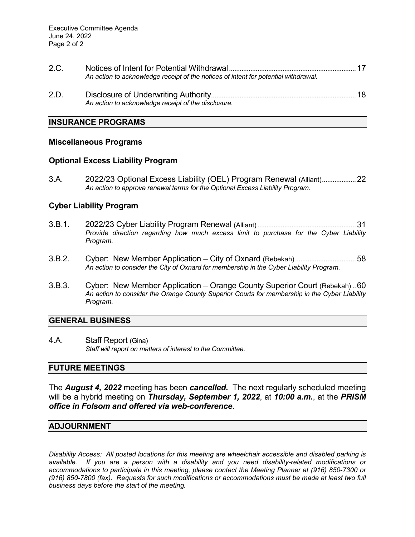| 2.C. |                                                                                     |  |
|------|-------------------------------------------------------------------------------------|--|
|      | An action to acknowledge receipt of the notices of intent for potential withdrawal. |  |
| 2 D  | Disclosure of Underwriting Authority                                                |  |

2.D. Disclosure of Underwriting Authority.................................................................................18 *An action to acknowledge receipt of the disclosure.*

#### **INSURANCE PROGRAMS**

#### **Miscellaneous Programs**

#### **Optional Excess Liability Program**

3.A. 2022/23 Optional Excess Liability (OEL) Program Renewal (Alliant)...................22 *An action to approve renewal terms for the Optional Excess Liability Program.*

#### **Cyber Liability Program**

- 3.B.1. 2022/23 Cyber Liability Program Renewal (Alliant).......................................................31 *Provide direction regarding how much excess limit to purchase for the Cyber Liability Program.*
- 3.B.2. Cyber: New Member Application City of Oxnard (Rebekah)..................................58 *An action to consider the City of Oxnard for membership in the Cyber Liability Program.*
- 3.B.3. Cyber: New Member Application Orange County Superior Court (Rebekah) ..60 *An action to consider the Orange County Superior Courts for membership in the Cyber Liability Program.*

#### **GENERAL BUSINESS**

4.A. Staff Report (Gina) *Staff will report on matters of interest to the Committee.*

#### **FUTURE MEETINGS**

The *August 4, 2022* meeting has been *cancelled.* The next regularly scheduled meeting will be a hybrid meeting on *Thursday, September 1, 2022*, at *10:00 a.m.*, at the *PRISM office in Folsom and offered via web-conference*.

#### **ADJOURNMENT**

*Disability Access: All posted locations for this meeting are wheelchair accessible and disabled parking is available. If you are a person with a disability and you need disability-related modifications or accommodations to participate in this meeting, please contact the Meeting Planner at (916) 850-7300 or (916) 850-7800 (fax). Requests for such modifications or accommodations must be made at least two full business days before the start of the meeting.*